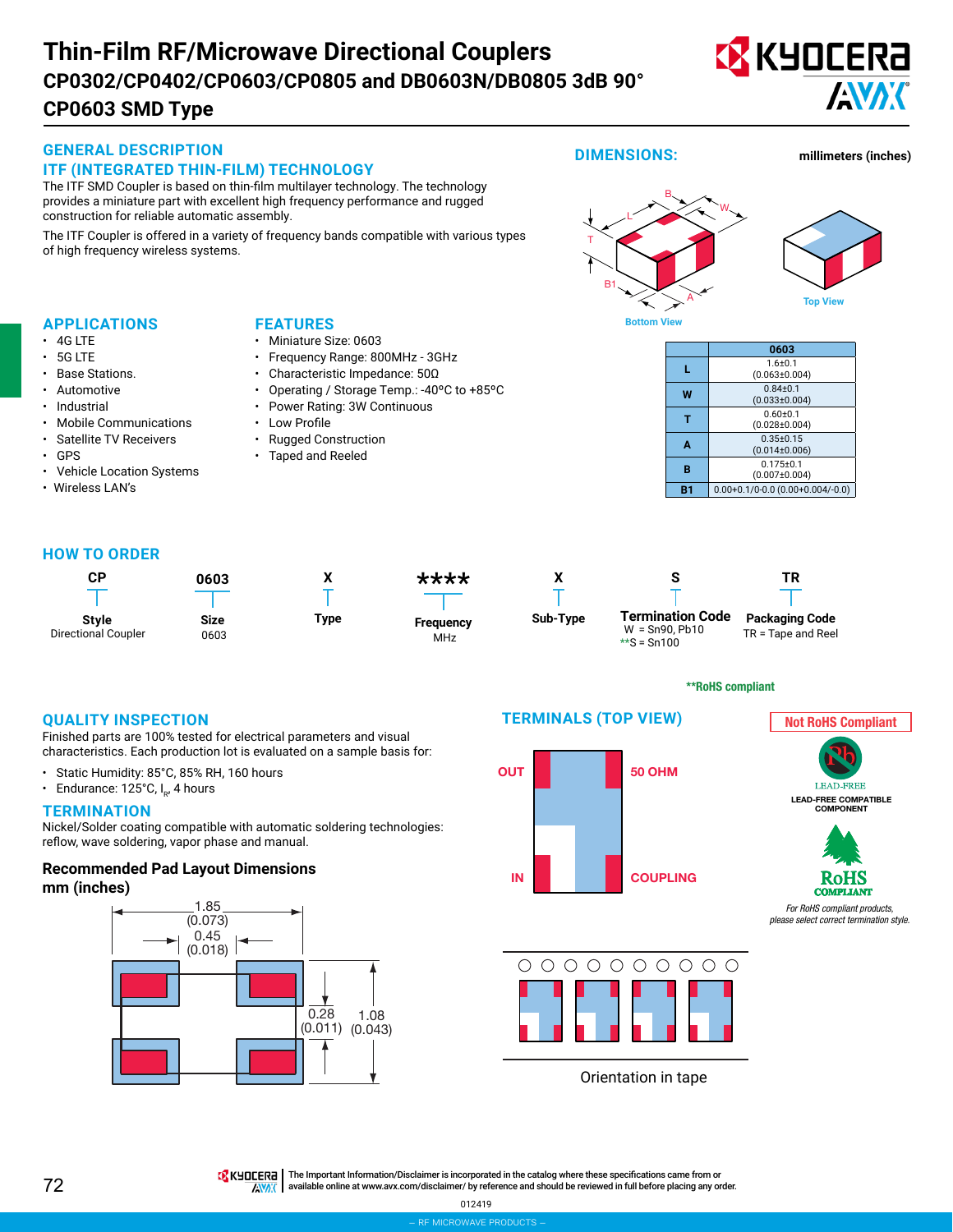# **Thin-Film RF/Microwave Directional Couplers CP0603 SMD Type CP0302/CP0402/CP0603/CP0805 and DB0603N/DB0805 3dB 90°**



*For RoHS compliant products, please select correct termination style.*





 $\bigcirc$  $\bigcap$  $O$   $O$  $\begin{array}{ccc} & O & O & O & O \end{array}$ ∩

Orientation in tape

TRK HOLERA | The Important Information/Disclaimer is incorporated in the catalog where these specifications came from or

available online at [www.avx.com/disclaimer/](http://www.avx.com/disclaimer/) by reference and should be reviewed in full before placing any order. **ENAK**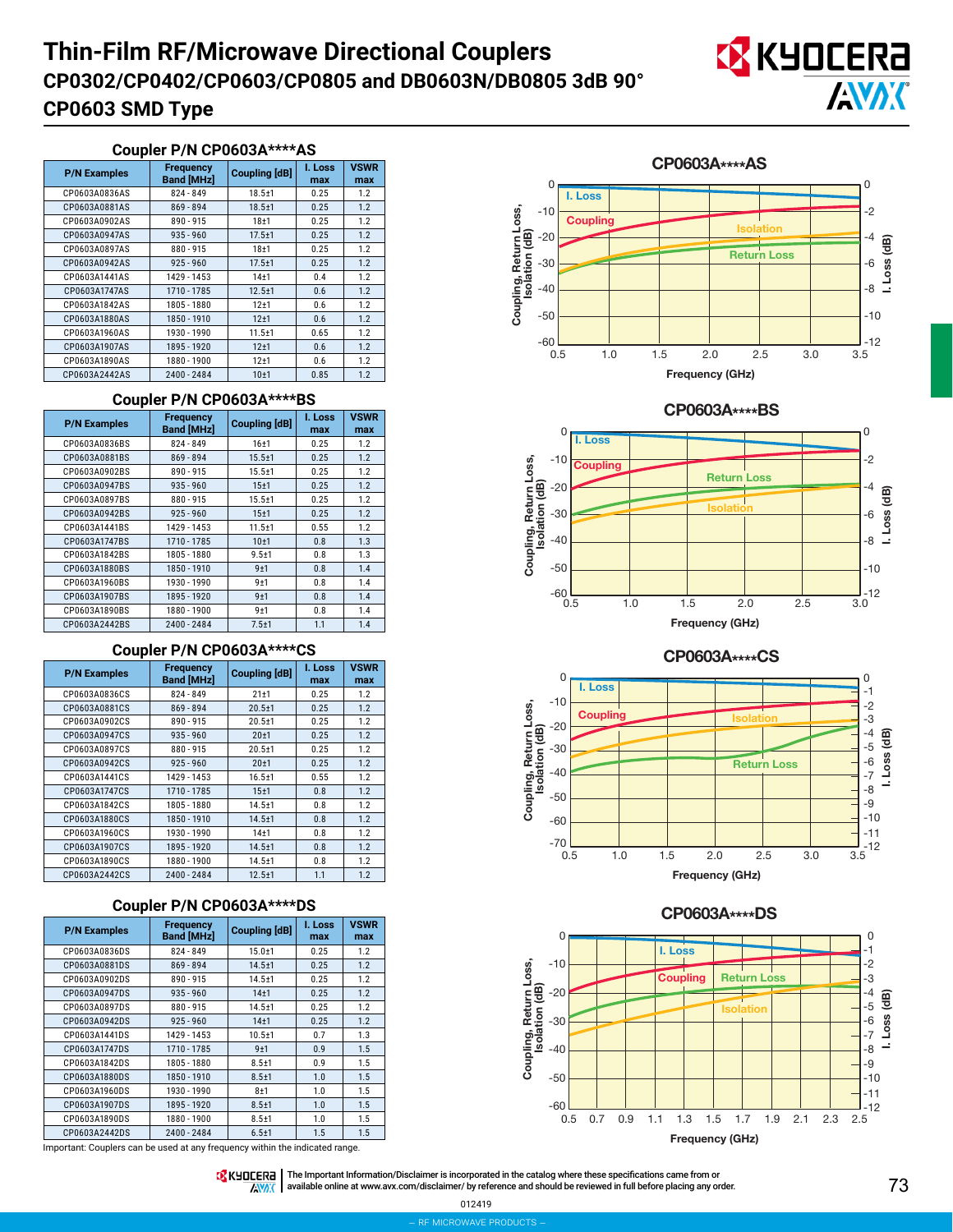# **Thin-Film RF/Microwave Directional Couplers CP0603 SMD Type CP0302/CP0402/CP0603/CP0805 and DB0603N/DB0805 3dB 90°**



#### **Coupler P/N CP0603A\*\*\*\*AS**

| <b>P/N Examples</b> | <b>Frequency</b><br><b>Band [MHz]</b> | <b>Coupling [dB]</b> | I. Loss<br>max | <b>VSWR</b><br>max |
|---------------------|---------------------------------------|----------------------|----------------|--------------------|
| CP0603A0836AS       | $824 - 849$                           | $18.5 + 1$           | 0.25           | 1.2                |
| CP0603A0881AS       | $869 - 894$                           | $18.5 + 1$           | 0.25           | 1.2                |
| CP0603A0902AS       | 890 - 915                             | 18 <sub>±1</sub>     | 0.25           | 1.2                |
| CP0603A0947AS       | $935 - 960$                           | $17.5 + 1$           | 0.25           | 1.2                |
| CP0603A0897AS       | $880 - 915$                           | 18 <sub>±1</sub>     | 0.25           | 1.2                |
| CP0603A0942AS       | $925 - 960$<br>$17.5 \pm 1$           | 0.25                 | 1.2            |                    |
| CP0603A1441AS       | 1429 - 1453                           | 14 <sub>±1</sub>     | 0.4            | 1.2                |
| CP0603A1747AS       | 1710 - 1785                           | $12.5 + 1$           | 0.6            | 1.2                |
| CP0603A1842AS       | 1805 - 1880                           | $12+1$               | 0.6            | 1.2                |
| CP0603A1880AS       | 1850 - 1910                           | 12±1                 | 0.6            | 1.2                |
| CP0603A1960AS       | 1930 - 1990                           | $11.5 + 1$           | 0.65           | 1.2                |
| CP0603A1907AS       | 1895 - 1920                           | 12±1                 | 0.6            | 1.2                |
| CP0603A1890AS       | 1880 - 1900                           | $12+1$               | 0.6            | 1.2                |
| CP0603A2442AS       | 2400 - 2484                           | 10 <sub>±1</sub>     | 0.85           | 1.2                |

#### **Coupler P/N CP0603A\*\*\*\*BS**

| <b>P/N Examples</b> | <b>Frequency</b><br><b>Coupling [dB]</b><br><b>Band [MHz]</b>                                               |            | I. Loss<br>max       | <b>VSWR</b><br>max       |
|---------------------|-------------------------------------------------------------------------------------------------------------|------------|----------------------|--------------------------|
| CP0603A0836BS       | 824 - 849                                                                                                   | 16±1       | 0.25                 | 1.2                      |
| CP0603A0881BS       | 869 - 894                                                                                                   | $15.5 + 1$ | 0.25                 | 1.2                      |
| CP0603A0902BS       | 890 - 915                                                                                                   | $15.5 + 1$ | 0.25                 | 1.2                      |
| CP0603A0947BS       | $935 - 960$                                                                                                 | 15±1       | 0.25                 | 1.2                      |
| CP0603A0897BS       | $880 - 915$<br>CP0603A0942BS<br>$925 - 960$<br>CP0603A1441BS<br>1429 - 1453<br>CP0603A1747BS<br>1710 - 1785 |            | 0.25<br>0.25<br>0.55 | 1.2<br>1.2<br>1.2<br>1.3 |
|                     |                                                                                                             |            |                      |                          |
|                     |                                                                                                             |            |                      |                          |
|                     |                                                                                                             |            | 0.8                  |                          |
| CP0603A1842BS       | 1805 - 1880                                                                                                 | $9.5 + 1$  | 0.8                  | 1.3                      |
| CP0603A1880BS       | 1850 - 1910                                                                                                 | 9±1        | 0.8                  | 1.4                      |
| CP0603A1960BS       | 1930 - 1990                                                                                                 | $9+1$      | 0.8                  | 1.4                      |
| CP0603A1907BS       | 1895 - 1920                                                                                                 | 9±1        | 0.8                  | 1.4                      |
| CP0603A1890BS       | 1880 - 1900                                                                                                 |            | 0.8                  | 1.4                      |
| CP0603A2442BS       | 2400 - 2484                                                                                                 | $7.5 + 1$  | 1.1                  | 1.4                      |

### **Coupler P/N CP0603A\*\*\*\*CS**

| <b>P/N Examples</b>                                                                      | <b>Frequency</b><br><b>Band [MHz]</b>       | <b>Coupling [dB]</b> |                      | <b>VSWR</b><br>max |
|------------------------------------------------------------------------------------------|---------------------------------------------|----------------------|----------------------|--------------------|
| CP0603A0836CS                                                                            | 824 - 849                                   | $21 + 1$             | 0.25                 | 1.2                |
| CP0603A0881CS                                                                            | $869 - 894$                                 | $20.5 + 1$           | 0.25                 | 1.2                |
| CP0603A0902CS                                                                            | 890 - 915                                   | $20.5 + 1$           | 0.25                 | 1.2                |
| CP0603A0947CS                                                                            | $935 - 960$                                 | 20 <sub>±1</sub>     | 0.25                 | 1.2                |
| CP0603A0897CS<br>880-915<br>CP0603A0942CS<br>$925 - 960$<br>CP0603A1441CS<br>1429 - 1453 |                                             | $20.5 + 1$           | 0.25<br>0.25<br>0.55 | 1.2<br>1.2<br>1.2  |
|                                                                                          |                                             | 20 <sub>±1</sub>     |                      |                    |
|                                                                                          |                                             | $16.5 + 1$           |                      |                    |
| CP0603A1747CS                                                                            | 1710 - 1785<br>CP0603A1842CS<br>1805 - 1880 |                      | 0.8                  | 1.2                |
|                                                                                          |                                             |                      | 0.8                  | 1.2                |
| CP0603A1880CS                                                                            | 1850 - 1910<br>$14.5 + 1$                   |                      | 0.8                  | 1.2                |
| CP0603A1960CS                                                                            | 1930 - 1990                                 | 14 <sub>±1</sub>     | 0.8                  | 1.2                |
| CP0603A1907CS                                                                            | 1895 - 1920                                 |                      | 0.8                  | 1.2                |
| CP0603A1890CS                                                                            | 1880 - 1900                                 | $14.5 + 1$           | 0.8                  | 1.2                |
| CP0603A2442CS                                                                            | 2400 - 2484                                 | $12.5 + 1$           | 1.1                  | 1.2                |

# CP0603A\*\*\*\*DS **Coupler P/N CP0603A\*\*\*\*DS**

| <b>P/N Examples</b> | <b>Frequency</b><br><b>Band [MHz]</b> | <b>Coupling [dB]</b> | I. Loss<br>max | <b>VSWR</b><br>max |
|---------------------|---------------------------------------|----------------------|----------------|--------------------|
| CP0603A0836DS       | $824 - 849$                           | $15.0 + 1$           | 0.25           | 1.2                |
| CP0603A0881DS       | $869 - 894$                           | $14.5 + 1$           | 0.25           | 1.2                |
| CP0603A0902DS       | $890 - 915$                           | $14.5 + 1$           | 0.25           | 1.2                |
| CP0603A0947DS       | $935 - 960$                           | 14 <sub>±1</sub>     | 0.25           | 1.2                |
| CP0603A0897DS       | $880 - 915$                           | $14.5 + 1$           | 0.25           | 1.2                |
| CP0603A0942DS       | $925 - 960$                           | 14 <sub>±1</sub>     | 0.25           | 1.2                |
| CP0603A1441DS       | 1429 - 1453                           | $10.5 + 1$           | 0.7            | 1.3                |
| CP0603A1747DS       | 1710 - 1785                           | 9±1                  | 0.9            | 1.5                |
| CP0603A1842DS       | 1805 - 1880                           | $8.5 + 1$            | 0.9            | 1.5                |
| CP0603A1880DS       | 1850 - 1910                           | $8.5 + 1$            | 1.0            | 1.5                |
| CP0603A1960DS       | 1930 - 1990                           | 8±1                  | 1.0            | 1.5                |
| CP0603A1907DS       | 1895 - 1920                           | $8.5 + 1$            | 1.0            | 1.5                |
| CP0603A1890DS       | 1880 - 1900                           | $8.5 + 1$            | 1.0            | 1.5                |
| CP0603A2442DS       | 2400 - 2484                           | $6.5 + 1$            | 1.5            | 1.5                |

Important: Couplers can be used at any frequency within the indicated range.

CP0603A\*\*\*\*AS 0  $\Omega$ **I. Loss** Coupling, Return Loss, -2 Coupling, Return Loss,<br>Isolation (dB)  $-10$ **Coupling Isolation** Isolation (dB)  $-20$ -4 I. Loss (dB) I. Loss (dB) **Return Loss** -30 -6 -8  $-40$ -10 -50 -60 -12 3.0 3.5 0.5 1.0 1.5 2.0 2.5 Frequency (GHz)





CP0603A\*\*\*\*CS





THE IMPORTATION The Important Information/Disclaimer is incorporated in the catalog where these specifications came from or  $\sqrt{N\delta\mathcal{K}}$ available online at [www.avx.com/disclaimer/](http://www.avx.com/disclaimer/) by reference and should be reviewed in full before placing any order.

012419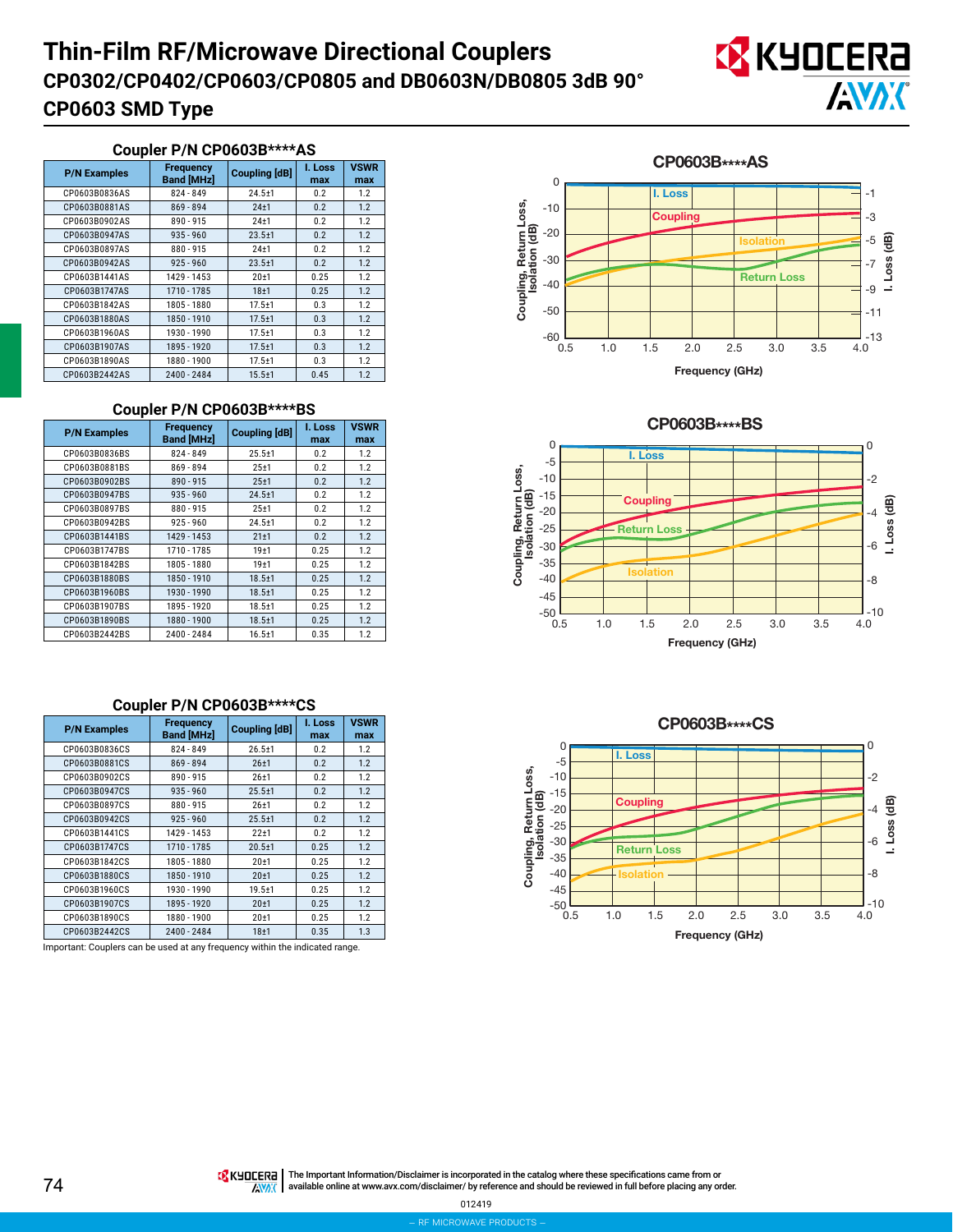# **Thin-Film RF/Microwave Directional Couplers CP0603 SMD Type CP0302/CP0402/CP0603/CP0805 and DB0603N/DB0805 3dB 90°**



#### **Coupler P/N CP0603B\*\*\*\*AS**

| <b>P/N Examples</b> | <b>Frequency</b><br><b>Coupling [dB]</b><br><b>Band [MHz]</b> |                  | I. Loss<br>max | <b>VSWR</b><br>max |
|---------------------|---------------------------------------------------------------|------------------|----------------|--------------------|
| CP0603B0836AS       | 824 - 849                                                     | $24.5 + 1$       | 0.2            | 1.2                |
| CP0603B0881AS       | 869 - 894                                                     | $24+1$           | 0.2            | 1.2                |
| CP0603B0902AS       | $890 - 915$                                                   | $24 + 1$         | 0.2            | 1.2                |
| CP0603B0947AS       | $935 - 960$                                                   | $23.5 + 1$       | 0.2            | 1.2                |
| CP0603B0897AS       | $880 - 915$                                                   | $24 + 1$         | 0.2            | 1.2                |
| CP0603B0942AS       | $925 - 960$                                                   | $23.5 + 1$       | 0.2            | 1.2                |
| CP0603B1441AS       | 1429 - 1453                                                   | 20 <sub>±1</sub> | 0.25           | 1.2                |
| CP0603B1747AS       | 1710 - 1785                                                   | $18 + 1$         | 0.25           | 1.2                |
| CP0603B1842AS       | 1805 - 1880                                                   | $17.5 \pm 1$     | 0.3            | 1.2                |
| CP0603B1880AS       | 1850 - 1910                                                   | $17.5 \pm 1$     | 0.3            | 1.2                |
| CP0603B1960AS       | 1930 - 1990                                                   | $17.5 \pm 1$     | 0.3            | 1.2                |
| CP0603B1907AS       | 1895 - 1920                                                   | $17.5 + 1$       | 0.3            | 1.2                |
| CP0603B1890AS       | 1880 - 1900                                                   | $17.5 + 1$       | 0.3            | 1.2                |
| CP0603B2442AS       | 2400 - 2484                                                   | $15.5 + 1$       | 0.45           | 1.2                |

### **Coupler P/N CP0603B\*\*\*\*BS**

| <b>P/N Examples</b>          | <b>Frequency</b><br><b>Band [MHz]</b> | <b>Coupling [dB]</b> | I. Loss<br>max | <b>VSWR</b><br>max |
|------------------------------|---------------------------------------|----------------------|----------------|--------------------|
| CP0603B0836BS                | 824 - 849                             | $25.5 + 1$           | 0.2            | 1.2                |
| CP0603B0881BS                | 869 - 894                             | $25+1$               | 0.2            | 1.2                |
| CP0603B0902BS                | $890 - 915$                           | 25±1                 | 0.2            | 1.2                |
| CP0603B0947BS                | $935 - 960$                           | $24.5 + 1$           | 0.2            | 1.2                |
| CP0603B0897BS                | 880 - 915                             | $25 + 1$             | 0.2            | 1.2                |
| CP0603B0942BS<br>$925 - 960$ |                                       | $24.5 + 1$           | 0.2            | 1.2                |
| CP0603B1441BS                | 1429 - 1453                           | $21 + 1$             | 0.2            | 1.2                |
| 1710 - 1785<br>CP0603B1747BS |                                       | 19 <sub>±1</sub>     | 0.25           | 1.2                |
| CP0603B1842BS                | 1805 - 1880                           | 19 <sub>±1</sub>     | 0.25           | 1.2                |
| CP0603B1880BS                | 1850 - 1910                           | $18.5 + 1$           | 0.25           | 1.2                |
| CP0603B1960BS                | 1930 - 1990                           | $18.5 \pm 1$         | 0.25           | 1.2                |
| CP0603B1907BS                | 1895 - 1920                           |                      | 0.25           | 1.2                |
| CP0603B1890BS                | 1880 - 1900                           |                      | 0.25           | 1.2                |
| CP0603B2442BS                | 2400 - 2484                           | $16.5 + 1$           | 0.35           | 1.2                |

### **Coupler P/N CP0603B\*\*\*\*CS**

| <b>P/N Examples</b>                                          | <b>Frequency</b><br><b>Coupling [dB]</b><br><b>Band [MHz]</b> |                  | I. Loss<br>max | <b>VSWR</b><br>max |
|--------------------------------------------------------------|---------------------------------------------------------------|------------------|----------------|--------------------|
| CP0603B0836CS                                                | 824 - 849                                                     |                  | 0.2            | 1.2                |
| CP0603B0881CS                                                | $869 - 894$                                                   | 26±1             | 0.2            | 1.2                |
| CP0603B0902CS                                                | $890 - 915$                                                   | $26 + 1$         | 0.2            | 1.2                |
| CP0603B0947CS                                                | $935 - 960$                                                   | $25.5 + 1$       | 0.2            | 1.2                |
| CP0603B0897CS<br>$880 - 915$<br>$925 - 960$<br>CP0603B0942CS |                                                               | $26 + 1$         | 0.2<br>0.2     | 1.2<br>1.2         |
|                                                              |                                                               | $25.5 + 1$       |                |                    |
| CP0603B1441CS                                                | 1429 - 1453                                                   | $22 + 1$         | 0.2            | 1.2                |
| CP0603B1747CS                                                | 1710 - 1785                                                   | $20.5 + 1$       | 0.25           | 1.2                |
| CP0603B1842CS                                                | 1805 - 1880                                                   | $20 + 1$         | 0.25           | 1.2                |
| CP0603B1880CS                                                | 1850 - 1910                                                   |                  | 0.25<br>0.25   | 1.2<br>1.2         |
| CP0603B1960CS<br>1930 - 1990                                 |                                                               | $19.5 + 1$       |                |                    |
| CP0603B1907CS                                                | 1895 - 1920                                                   | 20 <sub>±1</sub> | 0.25           | 1.2                |
| CP0603B1890CS                                                | 1880 - 1900                                                   | $20 + 1$         | 0.25           | 1.2                |
| 2400 - 2484<br>CP0603B2442CS                                 |                                                               | 18 <sub>±1</sub> | 0.35           | 1.3                |

Important: Couplers can be used at any frequency within the indicated range.

CP0603B\*\*\*\*AS 0 **I. Loss** -1 Coupling, Return Loss,<br>Isolation (dB) Coupling, Return Loss, -10 -3 **Coupling** Isolation (dB) -20 -5 I. Loss (dB) I. Loss (dB) **Isolation** -30 -7 **Return Loss** -40 -9 -50 -11  $-60$   $-60.5$  $\frac{1}{4}$ -13  $3.0$   $3.5$ 0.5 1.0 1.5 2.0 2.5 Frequency (GHz)

CP0603B\*\*\*\*BS